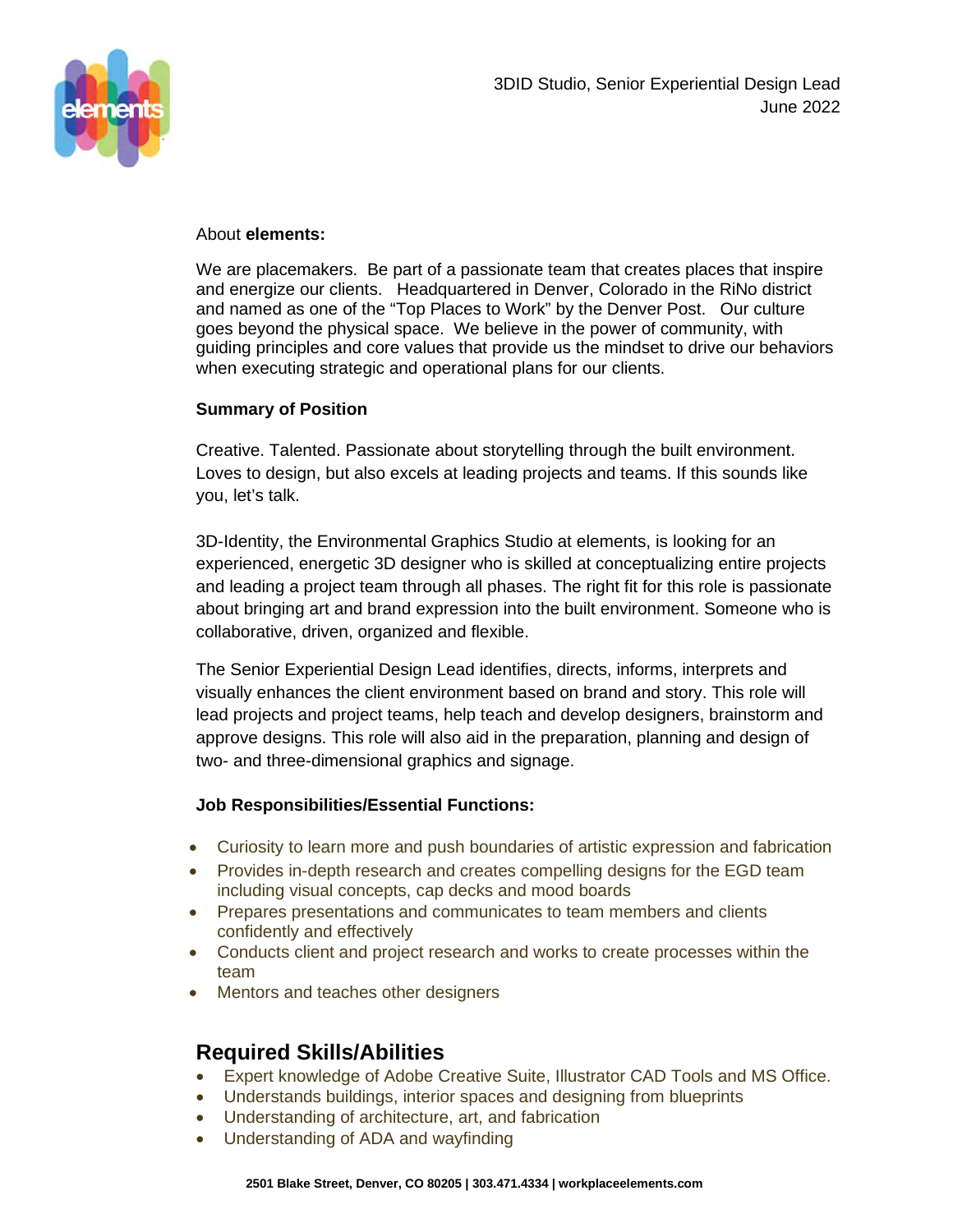

#### About **elements:**

We are placemakers. Be part of a passionate team that creates places that inspire and energize our clients. Headquartered in Denver, Colorado in the RiNo district and named as one of the "Top Places to Work" by the Denver Post. Our culture goes beyond the physical space. We believe in the power of community, with guiding principles and core values that provide us the mindset to drive our behaviors when executing strategic and operational plans for our clients.

# **Summary of Position**

Creative. Talented. Passionate about storytelling through the built environment. Loves to design, but also excels at leading projects and teams. If this sounds like you, let's talk.

3D-Identity, the Environmental Graphics Studio at elements, is looking for an experienced, energetic 3D designer who is skilled at conceptualizing entire projects and leading a project team through all phases. The right fit for this role is passionate about bringing art and brand expression into the built environment. Someone who is collaborative, driven, organized and flexible.

The Senior Experiential Design Lead identifies, directs, informs, interprets and visually enhances the client environment based on brand and story. This role will lead projects and project teams, help teach and develop designers, brainstorm and approve designs. This role will also aid in the preparation, planning and design of two- and three-dimensional graphics and signage.

# **Job Responsibilities/Essential Functions:**

- Curiosity to learn more and push boundaries of artistic expression and fabrication
- Provides in-depth research and creates compelling designs for the EGD team including visual concepts, cap decks and mood boards
- Prepares presentations and communicates to team members and clients confidently and effectively
- Conducts client and project research and works to create processes within the team
- Mentors and teaches other designers

# **Required Skills/Abilities**

- Expert knowledge of Adobe Creative Suite, Illustrator CAD Tools and MS Office.
- Understands buildings, interior spaces and designing from blueprints
- Understanding of architecture, art, and fabrication
- Understanding of ADA and wayfinding